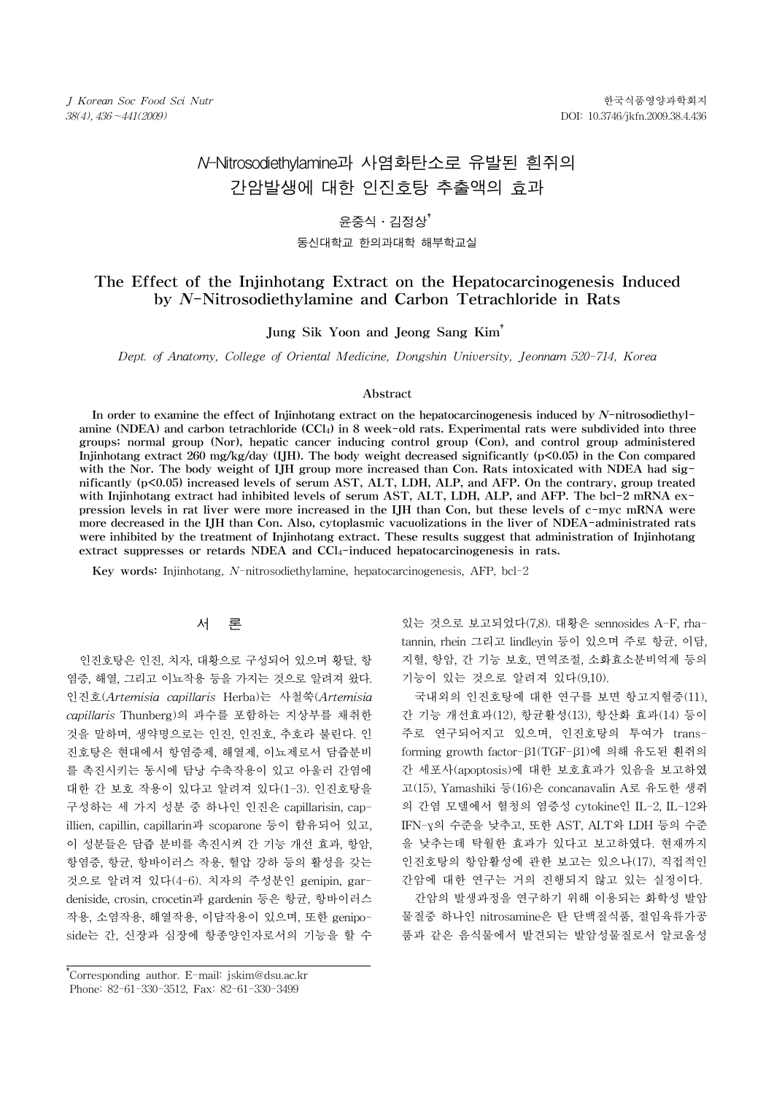# N-Nitrosodiethylamine과 사염화탄소로 유발된 흰쥐의 간암발생에 대한 인진호탕 추출액의 효과

# 윤중식․김정상†

#### 동신대학교 한의과대학 해부학교실

# The Effect of the Injinhotang Extract on the Hepatocarcinogenesis Induced by N-Nitrosodiethylamine and Carbon Tetrachloride in Rats

Jung Sik Yoon and Jeong Sang Kim†

Dept. of Anatomy, College of Oriental Medicine, Dongshin University, Jeonnam 520-714, Korea

### Abstract

In order to examine the effect of Injinhotang extract on the hepatocarcinogenesis induced by  $N$ -nitrosodiethylamine (NDEA) and carbon tetrachloride (CCl4) in 8 week-old rats. Experimental rats were subdivided into three groups; normal group (Nor), hepatic cancer inducing control group (Con), and control group administered Injinhotang extract 260 mg/kg/day (IJH). The body weight decreased significantly (p<0.05) in the Con compared with the Nor. The body weight of IJH group more increased than Con. Rats intoxicated with NDEA had significantly (p<0.05) increased levels of serum AST, ALT, LDH, ALP, and AFP. On the contrary, group treated with Injinhotang extract had inhibited levels of serum AST, ALT, LDH, ALP, and AFP. The bcl-2 mRNA expression levels in rat liver were more increased in the IJH than Con, but these levels of c-myc mRNA were more decreased in the IJH than Con. Also, cytoplasmic vacuolizations in the liver of NDEA-administrated rats were inhibited by the treatment of Injinhotang extract. These results suggest that administration of Injinhotang extract suppresses or retards NDEA and CCl4-induced hepatocarcinogenesis in rats.

Key words: Injinhotang, N-nitrosodiethylamine, hepatocarcinogenesis, AFP, bcl-2

## 서 론

인진호탕은 인진, 치자, 대황으로 구성되어 있으며 황달, 항 염증, 해열, 그리고 이뇨작용 등을 가지는 것으로 알려져 왔다. 인진호(Artemisia capillaris Herba)는 사철쑥(Artemisia capillaris Thunberg)의 과수를 포함하는 지상부를 채취한 것을 말하며, 생약명으로는 인진, 인진호, 추호라 불린다. 인 진호탕은 현대에서 항염증제, 해열제, 이뇨제로서 담즙분비 를 촉진시키는 동시에 담낭 수축작용이 있고 아울러 간염에 대한 간 보호 작용이 있다고 알려져 있다(1-3). 인진호탕을 구성하는 세 가지 성분 중 하나인 인진은 capillarisin, capillien, capillin, capillarin과 scoparone 등이 함유되어 있고, 이 성분들은 담즙 분비를 촉진시켜 간 기능 개선 효과, 항암, 항염증, 항균, 항바이러스 작용, 혈압 강하 등의 활성을 갖는 것으로 알려져 있다(4-6). 치자의 주성분인 genipin, gardeniside, crosin, crocetin과 gardenin 등은 항균, 항바이러스 작용, 소염작용, 해열작용, 이담작용이 있으며, 또한 geniposide는 간, 신장과 심장에 항종양인자로서의 기능을 할 수

있는 것으로 보고되었다(7,8). 대황은 sennosides A-F, rhatannin, rhein 그리고 lindleyin 등이 있으며 주로 항균, 이담, 지혈, 항암, 간 기능 보호, 면역조절, 소화효소분비억제 등의 기능이 있는 것으로 알려져 있다(9,10).

국내외의 인진호탕에 대한 연구를 보면 항고지혈증(11), 간 기능 개선효과(12), 항균활성(13), 항산화 효과(14) 등이 주로 연구되어지고 있으며, 인진호탕의 투여가 transforming growth factor-β1(TGF-β1)에 의해 유도된 흰쥐의 간 세포사(apoptosis)에 대한 보호효과가 있음을 보고하였 고(15), Yamashiki 등(16)은 concanavalin A로 유도한 생쥐 의 간염 모델에서 혈청의 염증성 cytokine인 IL-2, IL-12와 IFN-γ의 수준을 낮추고, 또한 AST, ALT와 LDH 등의 수준 을 낮추는데 탁월한 효과가 있다고 보고하였다. 현재까지 인진호탕의 항암활성에 관한 보고는 있으나(17), 직접적인 간암에 대한 연구는 거의 진행되지 않고 있는 실정이다.

간암의 발생과정을 연구하기 위해 이용되는 화학성 발암 물질중 하나인 nitrosamine은 탄 단백질식품, 절임육류가공 품과 같은 음식물에서 발견되는 발암성물질로서 알코올성

<sup>†</sup> Corresponding author. E-mail: jskim@dsu.ac.kr † Phone: 82-61-330-3512, Fax: 82-61-330-3499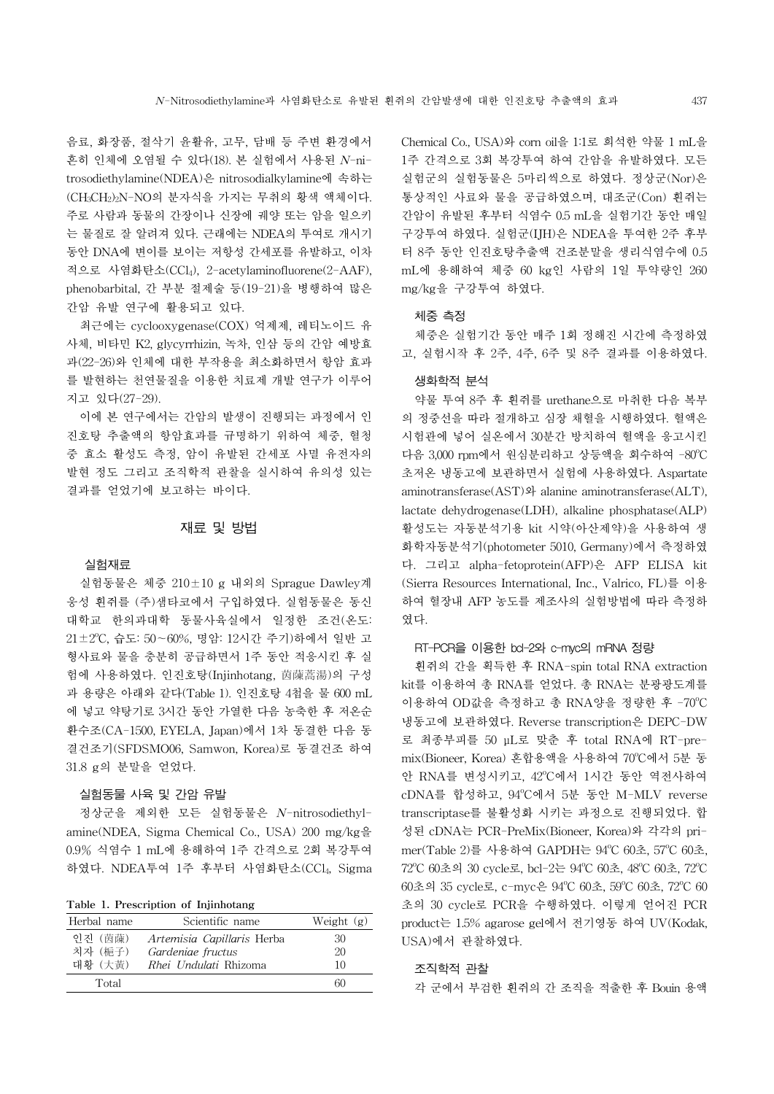음료, 화장품, 절삭기 윤활유, 고무, 담배 등 주변 환경에서 흔히 인체에 오염될 수 있다(18). 본 실험에서 사용된 N-nitrosodiethylamine(NDEA)은 nitrosodialkylamine에 속하는 (CH3CH2)2N-NO의 분자식을 가지는 무취의 황색 액체이다. 주로 사람과 동물의 간장이나 신장에 궤양 또는 암을 일으키 는 물질로 잘 알려져 있다. 근래에는 NDEA의 투여로 개시기 동안 DNA에 변이를 보이는 저항성 간세포를 유발하고, 이차 적으로 사염화탄소(CCl4), 2-acetylaminofluorene(2-AAF), phenobarbital, 간 부분 절제술 등(19-21)을 병행하여 많은 간암 유발 연구에 활용되고 있다.

최근에는 cyclooxygenase(COX) 억제제, 레티노이드 유 사체, 비타민 K2, glycyrrhizin, 녹차, 인삼 등의 간암 예방효 과(22-26)와 인체에 대한 부작용을 최소화하면서 항암 효과 를 발현하는 천연물질을 이용한 치료제 개발 연구가 이루어 지고 있다(27-29).

이에 본 연구에서는 간암의 발생이 진행되는 과정에서 인 진호탕 추출액의 항암효과를 규명하기 위하여 체중, 혈청 중 효소 활성도 측정, 암이 유발된 간세포 사멸 유전자의 발현 정도 그리고 조직학적 관찰을 실시하여 유의성 있는 결과를 얻었기에 보고하는 바이다.

## 재료 및 방법

### 실험재료

실험동물은 체중 210±10 g 내외의 Sprague Dawley계 웅성 흰쥐를 (주)샘타코에서 구입하였다. 실험동물은 동신 대학교 한의과대학 동물사육실에서 일정한 조건(온도:  $21 \pm 2^{\circ}$ C, 습도: 50~60%, 명암: 12시간 주기)하에서 일반 고 형사료와 물을 충분히 공급하면서 1주 동안 적응시킨 후 실 험에 사용하였다. 인진호탕(Injinhotang, 茵蔯蒿湯)의 구성 과 용량은 아래와 같다(Table 1). 인진호탕 4첩을 물 600 mL 에 넣고 약탕기로 3시간 동안 가열한 다음 농축한 후 저온순 환수조(CA-1500, EYELA, Japan)에서 1차 동결한 다음 동 결건조기(SFDSMO06, Samwon, Korea)로 동결건조 하여 31.8 g의 분말을 얻었다.

## 실험동물 사육 및 간암 유발

정상군을 제외한 모든 실험동물은 N-nitrosodiethylamine(NDEA, Sigma Chemical Co., USA) 200 mg/kg을 0.9% 식염수 1 mL에 용해하여 1주 간격으로 2회 복강투여 하였다. NDEA투여 1주 후부터 사염화탄소(CCl4, Sigma

Table 1. Prescription of Injinhotang

| Herbal name    | Scientific name              | Weight $(g)$ |
|----------------|------------------------------|--------------|
| <b>위진 (茵蔯)</b> | Artemisia Capillaris Herba   | 30           |
| 치자 (梔子)        | Gardeniae fructus            | 20           |
| 대화 (大黃)        | <i>Rhei Undulati</i> Rhizoma | 10           |
| Total          |                              | 60           |

Chemical Co., USA)와 corn oil을 1:1로 희석한 약물 1 mL을 1주 간격으로 3회 복강투여 하여 간암을 유발하였다. 모든 실험군의 실험동물은 5마리씩으로 하였다. 정상군(Nor)은 통상적인 사료와 물을 공급하였으며, 대조군(Con) 흰쥐는 간암이 유발된 후부터 식염수 0.5 mL을 실험기간 동안 매일 구강투여 하였다. 실험군(IJH)은 NDEA을 투여한 2주 후부 터 8주 동안 인진호탕추출액 건조분말을 생리식염수에 0.5 mL에 용해하여 체중 60 kg인 사람의 1일 투약량인 260 mg/kg을 구강투여 하였다.

#### 체중 측정

체중은 실험기간 동안 매주 1회 정해진 시간에 측정하였 고, 실험시작 후 2주, 4주, 6주 및 8주 결과를 이용하였다.

## 생화학적 분석

약물 투여 8주 후 흰쥐를 urethane으로 마취한 다음 복부 의 정중선을 따라 절개하고 심장 채혈을 시행하였다. 혈액은 시험관에 넣어 실온에서 30분간 방치하여 혈액을 응고시킨 다음 3,000 rpm에서 원심분리하고 상등액을 회수하여 -80℃ 초저온 냉동고에 보관하면서 실험에 사용하였다. Aspartate aminotransferase(AST)와 alanine aminotransferase(ALT), lactate dehydrogenase(LDH), alkaline phosphatase(ALP) 활성도는 자동분석기용 kit 시약(아산제약)을 사용하여 생 화학자동분석기(photometer 5010, Germany)에서 측정하였 다. 그리고 alpha-fetoprotein(AFP)은 AFP ELISA kit (Sierra Resources International, Inc., Valrico, FL)를 이용 하여 혈장내 AFP 농도를 제조사의 실험방법에 따라 측정하 였다.

## RT-PCR을 이용한 bcl-2와 c-myc의 mRNA 정량

흰쥐의 간을 획득한 후 RNA-spin total RNA extraction kit를 이용하여 총 RNA를 얻었다. 총 RNA는 분광광도계를 이용하여 OD값을 측정하고 총 RNA양을 정량한 후 -70°C 냉동고에 보관하였다. Reverse transcription은 DEPC-DW 로 최종부피를 50 μL로 맞춘 후 total RNA에 RT-premix(Bioneer, Korea) 혼합용액을 사용하여 70°C에서 5분 동 안 RNA를 변성시키고, 42°C에서 1시간 동안 역전사하여 cDNA를 합성하고, 94°C에서 5분 동안 M-MLV reverse transcriptase를 불활성화 시키는 과정으로 진행되었다. 합 성된 cDNA는 PCR-PreMix(Bioneer, Korea)와 각각의 primer(Table 2)를 사용하여 GAPDH는 94°C 60초, 57°C 60초, 72°C 60초의 30 cycle로, bcl-2는 94°C 60초, 48°C 60초, 72°C 60초의 35 cycle로, c-myc은 94°C 60초, 59°C 60초, 72°C 60 초의 30 cycle로 PCR을 수행하였다. 이렇게 얻어진 PCR product는 1.5% agarose gel에서 전기영동 하여 UV(Kodak, USA)에서 관찰하였다.

#### 조직학적 관찰

각 군에서 부검한 흰쥐의 간 조직을 적출한 후 Bouin 용액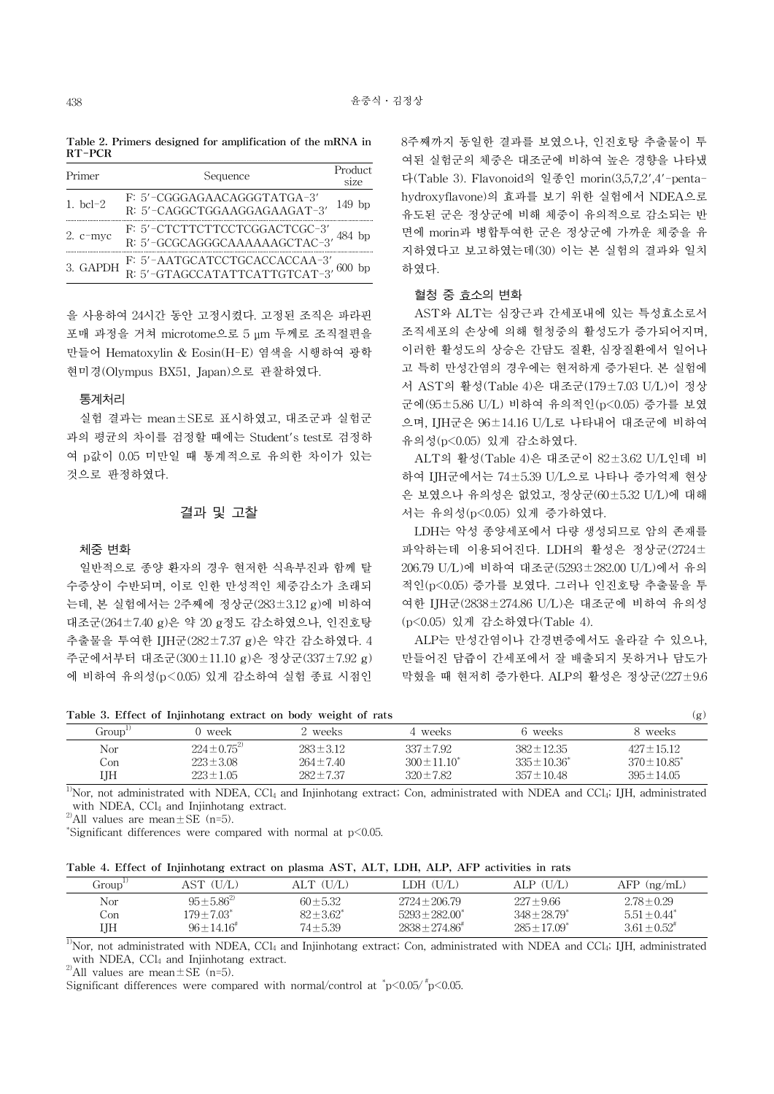Table 2. Primers designed for amplification of the mRNA in RT-PCR

| Primer     | Sequence                                                                  | Product<br>size |  |
|------------|---------------------------------------------------------------------------|-----------------|--|
| 1. $bc1-2$ | $F: 5'-CGGGAGAACAGGGTATGA-3'\nR: 5'-CAGGCTGGAAGGAGAAGAT-3'$               | $149$ bp        |  |
| $2. c-myc$ | F: 5'–CTCTTCTTCCTCGGACTCGC–3' 484 bp R: 5'–GCGCAGGGCAAAAAAGCTAC–3' 484 bp |                 |  |
|            | 3. GAPDH $\frac{F}{R}$ : 5'-AATGCATCCTGCACCACCAA-3', 600 bp               |                 |  |
|            |                                                                           |                 |  |

을 사용하여 24시간 동안 고정시켰다. 고정된 조직은 파라핀 포매 과정을 거쳐 microtome으로 5 μm 두께로 조직절편을 만들어 Hematoxylin & Eosin(H-E) 염색을 시행하여 광학 현미경(Olympus BX51, Japan)으로 관찰하였다.

## 통계처리

실험 결과는 mean±SE로 표시하였고, 대조군과 실험군 과의 평균의 차이를 검정할 때에는 Student's test로 검정하 여 p값이 0.05 미만일 때 통계적으로 유의한 차이가 있는 것으로 판정하였다.

## 결과 및 고찰

## 체중 변화

일반적으로 종양 환자의 경우 현저한 식욕부진과 함께 탈 수증상이 수반되며, 이로 인한 만성적인 체중감소가 초래되 는데, 본 실험에서는 2주째에 정상군(283±3.12 g)에 비하여 대조군(264±7.40 g)은 약 20 g정도 감소하였으나, 인진호탕 추출물을 투여한 IJH군(282±7.37 g)은 약간 감소하였다. 4 주군에서부터 대조군(300±11.10 g)은 정상군(337±7.92 g) 에 비하여 유의성(p<0.05) 있게 감소하여 실험 종료 시점인 8주째까지 동일한 결과를 보였으나, 인진호탕 추출물이 투 여된 실험군의 체중은 대조군에 비하여 높은 경향을 나타냈 다(Table 3). Flavonoid의 일종인 morin(3,5,7,2',4'-pentahydroxyflavone)의 효과를 보기 위한 실험에서 NDEA으로 유도된 군은 정상군에 비해 체중이 유의적으로 감소되는 반 면에 morin과 병합투여한 군은 정상군에 가까운 체중을 유 지하였다고 보고하였는데(30) 이는 본 실험의 결과와 일치 하였다.

### 혈청 중 효소의 변화

AST와 ALT는 심장근과 간세포내에 있는 특성효소로서 조직세포의 손상에 의해 혈청중의 활성도가 증가되어지며, 이러한 활성도의 상승은 간담도 질환, 심장질환에서 일어나 고 특히 만성간염의 경우에는 현저하게 증가된다. 본 실험에 서 AST의 활성(Table 4)은 대조군(179±7.03 U/L)이 정상 군에(95±5.86 U/L) 비하여 유의적인(p<0.05) 증가를 보였 으며, IJH군은 96±14.16 U/L로 나타내어 대조군에 비하여 유의성(p<0.05) 있게 감소하였다.

ALT의 활성(Table 4)은 대조군이 82±3.62 U/L인데 비 하여 IJH군에서는 74±5.39 U/L으로 나타나 증가억제 현상 은 보였으나 유의성은 없었고, 정상군(60±5.32 U/L)에 대해 서는 유의성(p<0.05) 있게 증가하였다.

LDH는 악성 종양세포에서 다량 생성되므로 암의 존재를 파악하는데 이용되어진다. LDH의 활성은 정상군(2724± 206.79 U/L)에 비하여 대조군(5293±282.00 U/L)에서 유의 적인(p<0.05) 증가를 보였다. 그러나 인진호탕 추출물을 투 여한 IJH군(2838±274.86 U/L)은 대조군에 비하여 유의성 (p<0.05) 있게 감소하였다(Table 4).

ALP는 만성간염이나 간경변증에서도 올라갈 수 있으나, 만들어진 담즙이 간세포에서 잘 배출되지 못하거나 담도가 막혔을 때 현저히 증가한다. ALP의 활성은 정상군(227±9.6

| Table 3. Effect of Injinhotang extract on body weight of rats |                     |                |                   |                   | (g)               |
|---------------------------------------------------------------|---------------------|----------------|-------------------|-------------------|-------------------|
| Group <sup>1</sup>                                            | 0 week              | 2 weeks        | 4 weeks           | 6 weeks           | 8 weeks           |
| Nor                                                           | $224 \pm 0.75^{27}$ | $283 \pm 3.12$ | $337 \pm 7.92$    | $382 \pm 12.35$   | $427 \pm 15.12$   |
| Con                                                           | $223 \pm 3.08$      | $264 \pm 7.40$ | $300 \pm 11.10^*$ | $335 \pm 10.36^*$ | $370 \pm 10.85^*$ |
| IJН                                                           | $223 \pm 1.05$      | $282 \pm 7.37$ | $320 \pm 7.82$    | $357 \pm 10.48$   | $395 \pm 14.05$   |

 $1$ <sup>1</sup>Nor, not administrated with NDEA, CCl<sub>4</sub> and Injinhotang extract; Con, administrated with NDEA and CCl<sub>4</sub>; IJH, administrated with NDEA, CCl<sub>4</sub> and Injinhotang extract.

<sup>2)</sup>All values are mean $\pm$ SE (n=5).

\*Significant differences were compared with normal at  $p$ <0.05.

| Table 4. Effect of Injinhotang extract on plasma AST, ALT, LDH, ALP, AFP activities in rats |  |  |  |  |  |  |  |
|---------------------------------------------------------------------------------------------|--|--|--|--|--|--|--|
|---------------------------------------------------------------------------------------------|--|--|--|--|--|--|--|

| Group'' | AST (U/L)                   | ALT (U/L)       | LDH (U/L)           | ALP (U/L)                    | $AFP$ (ng/mL)                |
|---------|-----------------------------|-----------------|---------------------|------------------------------|------------------------------|
|         |                             |                 |                     |                              |                              |
| Nor     | $95 \pm 5.86^{2}$           | $60 + 5.32$     | $2724 \pm 206.79$   | $227 \pm 9.66$               | $2.78 \pm 0.29$              |
| Con     | $179 \pm 7.03$ <sup>*</sup> | $82 \pm 3.62^*$ | $5293 \pm 282.00^*$ | $348 \pm 28.79$              | $5.51 + 0.44^*$              |
| IJН     | $96 \pm 14.16^{\circ}$      | 74±5.39         | $2838 \pm 274.86^*$ | $285 \pm 17.09$ <sup>*</sup> | $3.61 \pm 0.52$ <sup>*</sup> |

 $1$ <sup>1</sup>Nor, not administrated with NDEA, CCl<sub>4</sub> and Injinhotang extract; Con, administrated with NDEA and CCl<sub>4</sub>; IJH, administrated with NDEA, CCl<sub>4</sub> and Injinhotang extract.

<sup>2)</sup>All values are mean  $\pm$  SE (n=5).

Significant differences were compared with normal/control at  $\degree$ p<0.05/ $\degree$ p<0.05.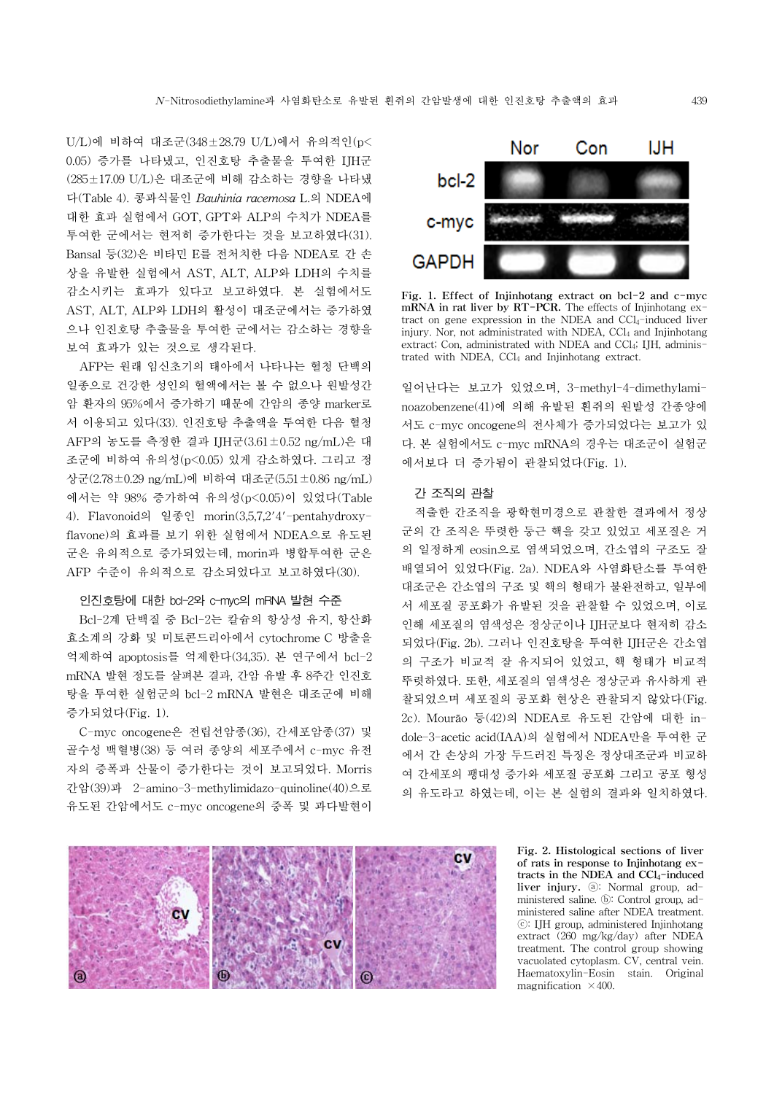U/L)에 비하여 대조군(348±28.79 U/L)에서 유의적인(p< 0.05) 증가를 나타냈고, 인진호탕 추출물을 투여한 IJH군 (285±17.09 U/L)은 대조군에 비해 감소하는 경향을 나타냈 다(Table 4). 콩과식물인 Bauhinia racemosa L.의 NDEA에 대한 효과 실험에서 GOT, GPT와 ALP의 수치가 NDEA를 투여한 군에서는 현저히 증가한다는 것을 보고하였다(31). Bansal 등(32)은 비타민 E를 전처치한 다음 NDEA로 간 손 상을 유발한 실험에서 AST, ALT, ALP와 LDH의 수치를 감소시키는 효과가 있다고 보고하였다. 본 실험에서도 AST, ALT, ALP와 LDH의 활성이 대조군에서는 증가하였 으나 인진호탕 추출물을 투여한 군에서는 감소하는 경향을 보여 효과가 있는 것으로 생각된다.

AFP는 원래 임신초기의 태아에서 나타나는 혈청 단백의 일종으로 건강한 성인의 혈액에서는 볼 수 없으나 원발성간 암 환자의 95%에서 증가하기 때문에 간암의 종양 marker로 서 이용되고 있다(33). 인진호탕 추출액을 투여한 다음 혈청 AFP의 농도를 측정한 결과 IJH군(3.61±0.52 ng/mL)은 대 조군에 비하여 유의성(p<0.05) 있게 감소하였다. 그리고 정 상군(2.78±0.29 ng/mL)에 비하여 대조군(5.51±0.86 ng/mL) 에서는 약 98% 증가하여 유의성(p<0.05)이 있었다(Table 4). Flavonoid의 일종인 morin(3,5,7,2'4'-pentahydroxyflavone)의 효과를 보기 위한 실험에서 NDEA으로 유도된 군은 유의적으로 증가되었는데, morin과 병합투여한 군은 AFP 수준이 유의적으로 감소되었다고 보고하였다(30).

#### 인진호탕에 대한 bcl-2와 c-myc의 mRNA 발현 수준

Bcl-2계 단백질 중 Bcl-2는 칼슘의 항상성 유지, 항산화 효소계의 강화 및 미토콘드리아에서 cytochrome C 방출을 억제하여 apoptosis를 억제한다(34,35). 본 연구에서 bcl-2 mRNA 발현 정도를 살펴본 결과, 간암 유발 후 8주간 인진호 탕을 투여한 실험군의 bcl-2 mRNA 발현은 대조군에 비해 증가되었다(Fig. 1).

C-myc oncogene은 전립선암종(36), 간세포암종(37) 및 골수성 백혈병(38) 등 여러 종양의 세포주에서 c-myc 유전 자의 증폭과 산물이 증가한다는 것이 보고되었다. Morris 간암(39)과 2-amino-3-methylimidazo-quinoline(40)으로 유도된 간암에서도 c-myc oncogene의 중폭 및 과다발현이



Fig. 1. Effect of Injinhotang extract on bcl-2 and c-myc mRNA in rat liver by RT-PCR. The effects of Injinhotang extract on gene expression in the NDEA and CCl<sub>4</sub>-induced liver injury. Nor, not administrated with NDEA, CCl<sub>4</sub> and Injinhotang extract; Con, administrated with NDEA and CCl4; IJH, administrated with NDEA, CCl<sub>4</sub> and Injinhotang extract.

일어난다는 보고가 있었으며, 3-methyl-4-dimethylaminoazobenzene(41)에 의해 유발된 흰쥐의 원발성 간종양에 서도 c-myc oncogene의 전사체가 증가되었다는 보고가 있 다. 본 실험에서도 c-myc mRNA의 경우는 대조군이 실험군 에서보다 더 증가됨이 관찰되었다(Fig. 1).

## 간 조직의 관찰

적출한 간조직을 광학현미경으로 관찰한 결과에서 정상 군의 간 조직은 뚜렷한 둥근 핵을 갖고 있었고 세포질은 거 의 일정하게 eosin으로 염색되었으며, 간소엽의 구조도 잘 배열되어 있었다(Fig. 2a). NDEA와 사염화탄소를 투여한 대조군은 간소엽의 구조 및 핵의 형태가 불완전하고, 일부에 서 세포질 공포화가 유발된 것을 관찰할 수 있었으며, 이로 인해 세포질의 염색성은 정상군이나 IJH군보다 현저히 감소 되었다(Fig. 2b). 그러나 인진호탕을 투여한 IJH군은 간소엽 의 구조가 비교적 잘 유지되어 있었고, 핵 형태가 비교적 뚜렷하였다. 또한, 세포질의 염색성은 정상군과 유사하게 관 찰되었으며 세포질의 공포화 현상은 관찰되지 않았다(Fig. 2c). Mourão 등(42)의 NDEA로 유도된 간암에 대한 indole-3-acetic acid(IAA)의 실험에서 NDEA만을 투여한 군 에서 간 손상의 가장 두드러진 특징은 정상대조군과 비교하 여 간세포의 팽대성 증가와 세포질 공포화 그리고 공포 형성 의 유도라고 하였는데, 이는 본 실험의 결과와 일치하였다.



Fig. 2. Histological sections of liver of rats in response to Injinhotang extracts in the NDEA and CCl<sub>4</sub>-induced liver injury. ⓐ: Normal group, administered saline. ⓑ: Control group, administered saline after NDEA treatment. ⓒ: IJH group, administered Injinhotang extract (260 mg/kg/day) after NDEA treatment. The control group showing vacuolated cytoplasm. CV, central vein. Haematoxylin-Eosin stain. Original magnification  $\times$  400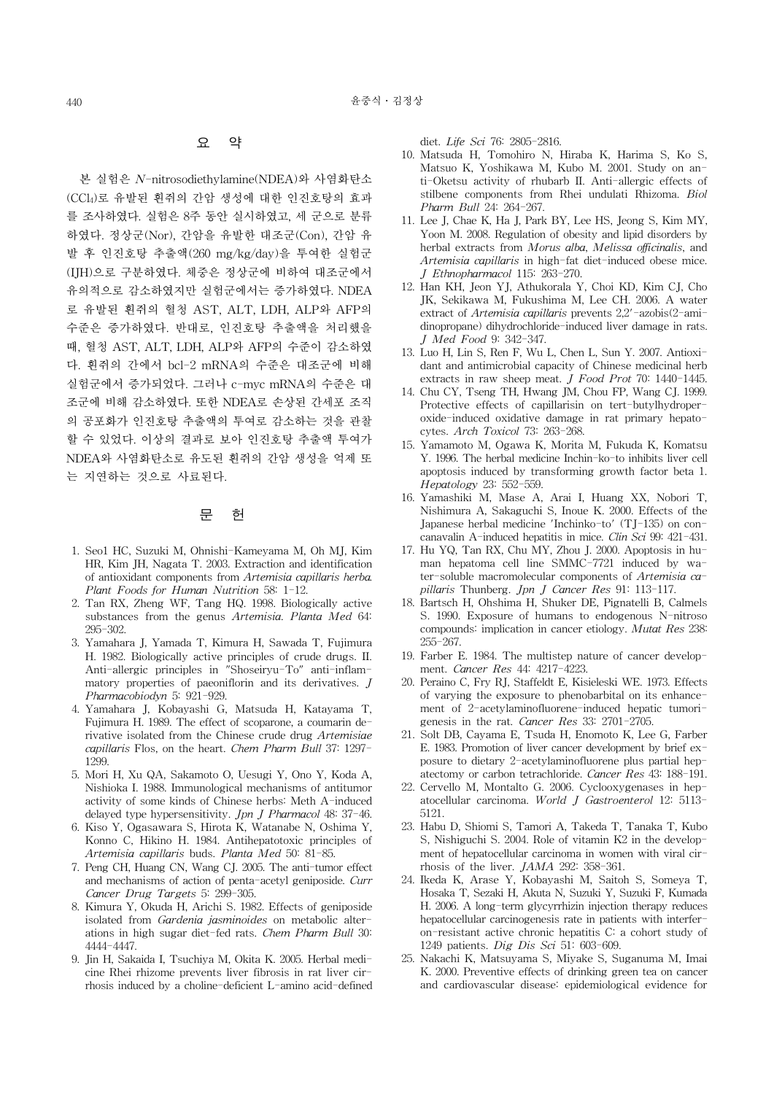## 요 약

본 실험은 N-nitrosodiethylamine(NDEA)와 사염화탄소 (CCl4)로 유발된 흰쥐의 간암 생성에 대한 인진호탕의 효과 를 조사하였다. 실험은 8주 동안 실시하였고, 세 군으로 분류 하였다. 정상군(Nor), 간암을 유발한 대조군(Con), 간암 유 발 후 인진호탕 추출액(260 mg/kg/day)을 투여한 실험군 (IJH)으로 구분하였다. 체중은 정상군에 비하여 대조군에서 유의적으로 감소하였지만 실험군에서는 증가하였다. NDEA 로 유발된 흰쥐의 혈청 AST, ALT, LDH, ALP와 AFP의 수준은 증가하였다. 반대로, 인진호탕 추출액을 처리했을 때, 혈청 AST, ALT, LDH, ALP와 AFP의 수준이 감소하였 다. 흰쥐의 간에서 bcl-2 mRNA의 수준은 대조군에 비해 실험군에서 증가되었다. 그러나 c-myc mRNA의 수준은 대 조군에 비해 감소하였다. 또한 NDEA로 손상된 간세포 조직 의 공포화가 인진호탕 추출액의 투여로 감소하는 것을 관찰 할 수 있었다. 이상의 결과로 보아 인진호탕 추출액 투여가 NDEA와 사염화탄소로 유도된 흰쥐의 간암 생성을 억제 또 는 지연하는 것으로 사료된다.

# 문 헌

- 1. Seo1 HC, Suzuki M, Ohnishi-Kameyama M, Oh MJ, Kim HR, Kim JH, Nagata T. 2003. Extraction and identification of antioxidant components from Artemisia capillaris herba. Plant Foods for Human Nutrition 58: 1-12.
- 2. Tan RX, Zheng WF, Tang HQ. 1998. Biologically active substances from the genus Artemisia. Planta Med 64: 295-302.
- 3. Yamahara J, Yamada T, Kimura H, Sawada T, Fujimura H. 1982. Biologically active principles of crude drugs. II. Anti-allergic principles in "Shoseiryu-To" anti-inflammatory properties of paeoniflorin and its derivatives. J Pharmacobiodyn 5: 921-929.
- 4. Yamahara J, Kobayashi G, Matsuda H, Katayama T, Fujimura H. 1989. The effect of scoparone, a coumarin derivative isolated from the Chinese crude drug Artemisiae capillaris Flos, on the heart. Chem Pharm Bull 37: 1297- 1299.
- 5. Mori H, Xu QA, Sakamoto O, Uesugi Y, Ono Y, Koda A, Nishioka I. 1988. Immunological mechanisms of antitumor activity of some kinds of Chinese herbs: Meth A-induced delayed type hypersensitivity. Jpn J Pharmacol 48: 37-46.
- 6. Kiso Y, Ogasawara S, Hirota K, Watanabe N, Oshima Y, Konno C, Hikino H. 1984. Antihepatotoxic principles of Artemisia capillaris buds. Planta Med 50: 81-85.
- 7. Peng CH, Huang CN, Wang CJ. 2005. The anti-tumor effect and mechanisms of action of penta-acetyl geniposide. Curr Cancer Drug Targets 5: 299-305.
- 8. Kimura Y, Okuda H, Arichi S. 1982. Effects of geniposide isolated from Gardenia jasminoides on metabolic alterations in high sugar diet-fed rats. Chem Pharm Bull 30: 4444-4447.
- 9. Jin H, Sakaida I, Tsuchiya M, Okita K. 2005. Herbal medicine Rhei rhizome prevents liver fibrosis in rat liver cirrhosis induced by a choline-deficient L-amino acid-defined

diet. Life Sci 76: 2805-2816.

- 10. Matsuda H, Tomohiro N, Hiraba K, Harima S, Ko S, Matsuo K, Yoshikawa M, Kubo M. 2001. Study on anti-Oketsu activity of rhubarb II. Anti-allergic effects of stilbene components from Rhei undulati Rhizoma. Biol Pharm Bull 24: 264-267.
- 11. Lee J, Chae K, Ha J, Park BY, Lee HS, Jeong S, Kim MY, Yoon M. 2008. Regulation of obesity and lipid disorders by herbal extracts from Morus alba, Melissa officinalis, and Artemisia capillaris in high-fat diet-induced obese mice. J Ethnopharmacol 115: 263-270.
- 12. Han KH, Jeon YJ, Athukorala Y, Choi KD, Kim CJ, Cho JK, Sekikawa M, Fukushima M, Lee CH. 2006. A water extract of Artemisia capillaris prevents 2,2'-azobis(2-amidinopropane) dihydrochloride-induced liver damage in rats. J Med Food 9: 342-347.
- 13. Luo H, Lin S, Ren F, Wu L, Chen L, Sun Y. 2007. Antioxidant and antimicrobial capacity of Chinese medicinal herb extracts in raw sheep meat. J Food Prot 70: 1440-1445.
- 14. Chu CY, Tseng TH, Hwang JM, Chou FP, Wang CJ. 1999. Protective effects of capillarisin on tert-butylhydroperoxide-induced oxidative damage in rat primary hepatocytes. Arch Toxicol 73: 263-268.
- 15. Yamamoto M, Ogawa K, Morita M, Fukuda K, Komatsu Y. 1996. The herbal medicine Inchin-ko-to inhibits liver cell apoptosis induced by transforming growth factor beta 1. Hepatology 23: 552-559.
- 16. Yamashiki M, Mase A, Arai I, Huang XX, Nobori T, Nishimura A, Sakaguchi S, Inoue K. 2000. Effects of the Japanese herbal medicine 'Inchinko-to' (TJ-135) on concanavalin A-induced hepatitis in mice. Clin Sci 99: 421-431.
- 17. Hu YQ, Tan RX, Chu MY, Zhou J. 2000. Apoptosis in human hepatoma cell line SMMC-7721 induced by water-soluble macromolecular components of Artemisia capillaris Thunberg. Jpn J Cancer Res 91: 113-117.
- 18. Bartsch H, Ohshima H, Shuker DE, Pignatelli B, Calmels S. 1990. Exposure of humans to endogenous N-nitroso compounds: implication in cancer etiology. Mutat Res 238: 255-267.
- 19. Farber E. 1984. The multistep nature of cancer development. Cancer Res 44: 4217-4223.
- 20. Peraino C, Fry RJ, Staffeldt E, Kisieleski WE. 1973. Effects of varying the exposure to phenobarbital on its enhancement of 2-acetylaminofluorene-induced hepatic tumorigenesis in the rat. Cancer Res 33: 2701-2705.
- 21. Solt DB, Cayama E, Tsuda H, Enomoto K, Lee G, Farber E. 1983. Promotion of liver cancer development by brief exposure to dietary 2-acetylaminofluorene plus partial hepatectomy or carbon tetrachloride. Cancer Res 43: 188-191.
- 22. Cervello M, Montalto G. 2006. Cyclooxygenases in hepatocellular carcinoma. World J Gastroenterol 12: 5113- 5121.
- 23. Habu D, Shiomi S, Tamori A, Takeda T, Tanaka T, Kubo S, Nishiguchi S. 2004. Role of vitamin K2 in the development of hepatocellular carcinoma in women with viral cirrhosis of the liver. JAMA 292: 358-361.
- 24. Ikeda K, Arase Y, Kobayashi M, Saitoh S, Someya T, Hosaka T, Sezaki H, Akuta N, Suzuki Y, Suzuki F, Kumada H. 2006. A long-term glycyrrhizin injection therapy reduces hepatocellular carcinogenesis rate in patients with interferon-resistant active chronic hepatitis C: a cohort study of 1249 patients. Dig Dis Sci 51: 603-609.
- 25. Nakachi K, Matsuyama S, Miyake S, Suganuma M, Imai K. 2000. Preventive effects of drinking green tea on cancer and cardiovascular disease: epidemiological evidence for